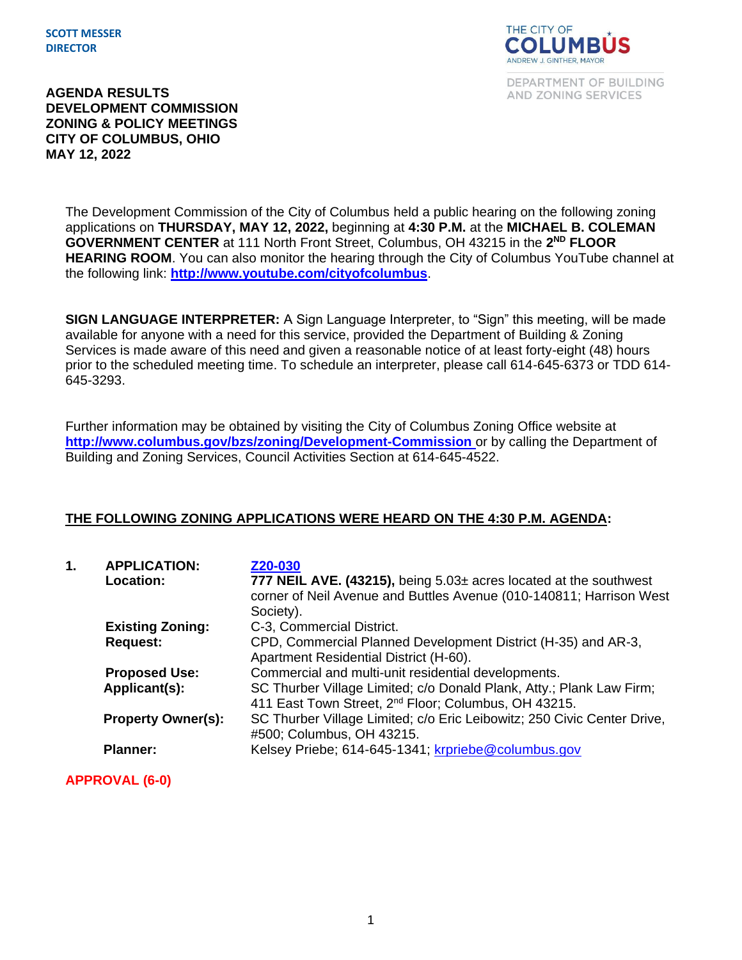**SCOTT MESSER DIRECTOR**



DEPARTMENT OF BUILDING AND ZONING SERVICES

**AGENDA RESULTS DEVELOPMENT COMMISSION ZONING & POLICY MEETINGS CITY OF COLUMBUS, OHIO MAY 12, 2022**

> The Development Commission of the City of Columbus held a public hearing on the following zoning applications on **THURSDAY, MAY 12, 2022,** beginning at **4:30 P.M.** at the **MICHAEL B. COLEMAN**  GOVERNMENT CENTER at 111 North Front Street, Columbus, OH 43215 in the 2<sup>ND</sup> FLOOR **HEARING ROOM**. You can also monitor the hearing through the City of Columbus YouTube channel at the following link: **<http://www.youtube.com/cityofcolumbus>**.

> **SIGN LANGUAGE INTERPRETER:** A Sign Language Interpreter, to "Sign" this meeting, will be made available for anyone with a need for this service, provided the Department of Building & Zoning Services is made aware of this need and given a reasonable notice of at least forty-eight (48) hours prior to the scheduled meeting time. To schedule an interpreter, please call 614-645-6373 or TDD 614- 645-3293.

Further information may be obtained by visiting the City of Columbus Zoning Office website at **http://www.columbus.gov/bzs/zoning/Development-Commission** or by calling the Department of Building and Zoning Services, Council Activities Section at 614-645-4522.

# **THE FOLLOWING ZONING APPLICATIONS WERE HEARD ON THE 4:30 P.M. AGENDA:**

| 1. | <b>APPLICATION:</b><br>Location: | Z20-030<br>777 NEIL AVE. (43215), being $5.03\pm$ acres located at the southwest<br>corner of Neil Avenue and Buttles Avenue (010-140811; Harrison West<br>Society). |
|----|----------------------------------|----------------------------------------------------------------------------------------------------------------------------------------------------------------------|
|    | <b>Existing Zoning:</b>          | C-3, Commercial District.                                                                                                                                            |
|    | <b>Request:</b>                  | CPD, Commercial Planned Development District (H-35) and AR-3,<br>Apartment Residential District (H-60).                                                              |
|    | <b>Proposed Use:</b>             | Commercial and multi-unit residential developments.                                                                                                                  |
|    | Applicant(s):                    | SC Thurber Village Limited; c/o Donald Plank, Atty.; Plank Law Firm;<br>411 East Town Street, 2 <sup>nd</sup> Floor; Columbus, OH 43215.                             |
|    | <b>Property Owner(s):</b>        | SC Thurber Village Limited; c/o Eric Leibowitz; 250 Civic Center Drive,<br>#500; Columbus, OH 43215.                                                                 |
|    | <b>Planner:</b>                  | Kelsey Priebe; 614-645-1341; krpriebe@columbus.gov                                                                                                                   |

**APPROVAL (6-0)**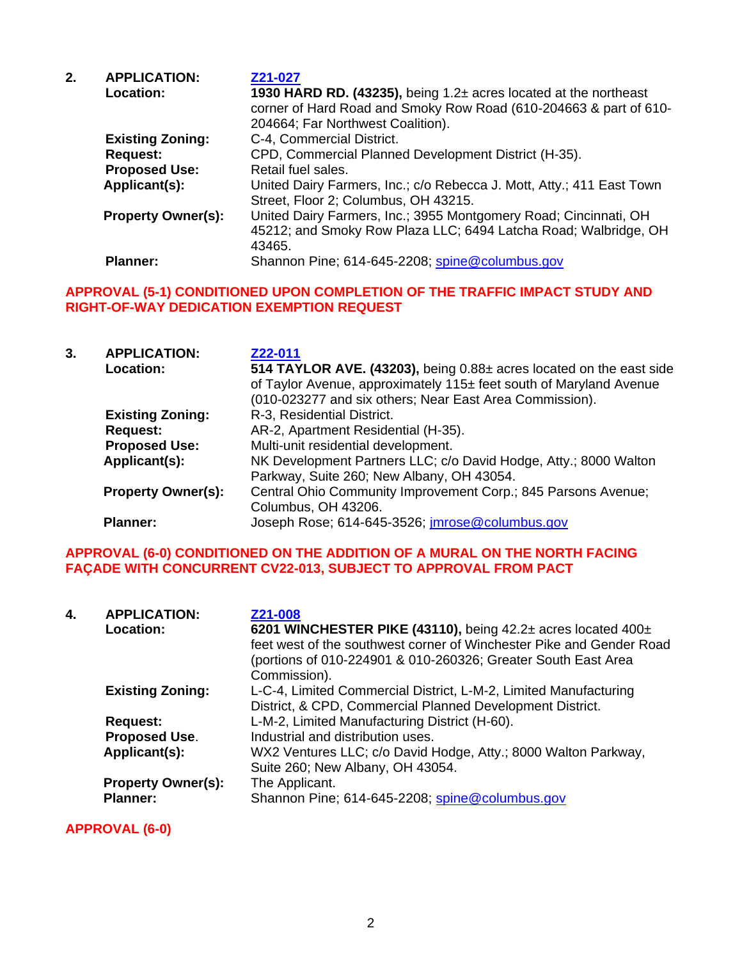| 2. | <b>APPLICATION:</b>       | Z21-027                                                               |  |
|----|---------------------------|-----------------------------------------------------------------------|--|
|    | Location:                 | 1930 HARD RD. (43235), being 1.2± acres located at the northeast      |  |
|    |                           | corner of Hard Road and Smoky Row Road (610-204663 & part of 610-     |  |
|    |                           | 204664; Far Northwest Coalition).                                     |  |
|    | <b>Existing Zoning:</b>   | C-4, Commercial District.                                             |  |
|    | <b>Request:</b>           | CPD, Commercial Planned Development District (H-35).                  |  |
|    | <b>Proposed Use:</b>      | Retail fuel sales.                                                    |  |
|    | Applicant(s):             | United Dairy Farmers, Inc.; c/o Rebecca J. Mott, Atty.; 411 East Town |  |
|    |                           | Street, Floor 2; Columbus, OH 43215.                                  |  |
|    | <b>Property Owner(s):</b> | United Dairy Farmers, Inc.; 3955 Montgomery Road; Cincinnati, OH      |  |
|    |                           | 45212; and Smoky Row Plaza LLC; 6494 Latcha Road; Walbridge, OH       |  |
|    |                           | 43465.                                                                |  |
|    | <b>Planner:</b>           | Shannon Pine; 614-645-2208; spine@columbus.gov                        |  |

#### **APPROVAL (5-1) CONDITIONED UPON COMPLETION OF THE TRAFFIC IMPACT STUDY AND RIGHT-OF-WAY DEDICATION EXEMPTION REQUEST**

| 3. | <b>APPLICATION:</b><br><b>Location:</b> | Z22-011<br>514 TAYLOR AVE. (43203), being 0.88± acres located on the east side<br>of Taylor Avenue, approximately 115± feet south of Maryland Avenue<br>(010-023277 and six others; Near East Area Commission). |
|----|-----------------------------------------|-----------------------------------------------------------------------------------------------------------------------------------------------------------------------------------------------------------------|
|    | <b>Existing Zoning:</b>                 | R-3, Residential District.                                                                                                                                                                                      |
|    | <b>Request:</b>                         | AR-2, Apartment Residential (H-35).                                                                                                                                                                             |
|    | <b>Proposed Use:</b>                    | Multi-unit residential development.                                                                                                                                                                             |
|    | Applicant(s):                           | NK Development Partners LLC; c/o David Hodge, Atty.; 8000 Walton<br>Parkway, Suite 260; New Albany, OH 43054.                                                                                                   |
|    | <b>Property Owner(s):</b>               | Central Ohio Community Improvement Corp.; 845 Parsons Avenue;<br>Columbus, OH 43206.                                                                                                                            |
|    | <b>Planner:</b>                         | Joseph Rose; 614-645-3526; <i>imrose@columbus.gov</i>                                                                                                                                                           |

# **APPROVAL (6-0) CONDITIONED ON THE ADDITION OF A MURAL ON THE NORTH FACING FAÇADE WITH CONCURRENT CV22-013, SUBJECT TO APPROVAL FROM PACT**

| 4. | <b>APPLICATION:</b><br><b>Location:</b>      | Z21-008<br>6201 WINCHESTER PIKE (43110), being $42.2\pm$ acres located $400\pm$<br>feet west of the southwest corner of Winchester Pike and Gender Road<br>(portions of 010-224901 & 010-260326; Greater South East Area<br>Commission). |
|----|----------------------------------------------|------------------------------------------------------------------------------------------------------------------------------------------------------------------------------------------------------------------------------------------|
|    | <b>Existing Zoning:</b>                      | L-C-4, Limited Commercial District, L-M-2, Limited Manufacturing<br>District, & CPD, Commercial Planned Development District.                                                                                                            |
|    | <b>Request:</b>                              | L-M-2, Limited Manufacturing District (H-60).                                                                                                                                                                                            |
|    | <b>Proposed Use.</b>                         | Industrial and distribution uses.                                                                                                                                                                                                        |
|    | Applicant(s):                                | WX2 Ventures LLC; c/o David Hodge, Atty.; 8000 Walton Parkway,<br>Suite 260; New Albany, OH 43054.                                                                                                                                       |
|    | <b>Property Owner(s):</b><br><b>Planner:</b> | The Applicant.<br>Shannon Pine; 614-645-2208; spine@columbus.gov                                                                                                                                                                         |

**APPROVAL (6-0)**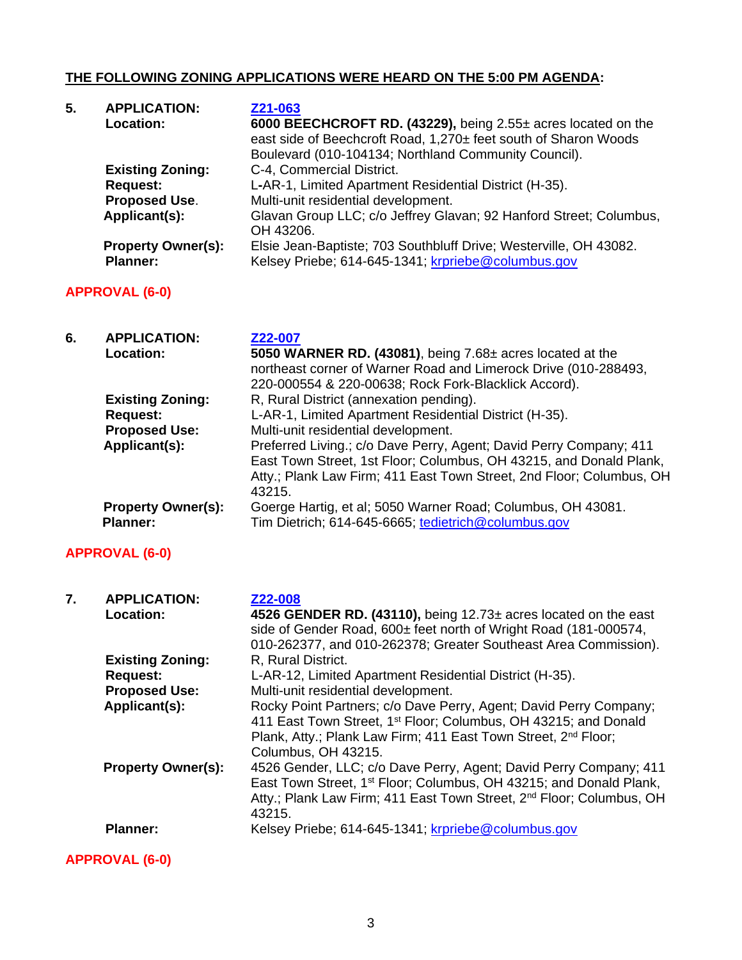# **THE FOLLOWING ZONING APPLICATIONS WERE HEARD ON THE 5:00 PM AGENDA:**

| 5.<br><b>APPLICATION:</b><br>Z21-063 |                           |                                                                    |
|--------------------------------------|---------------------------|--------------------------------------------------------------------|
|                                      | Location:                 | 6000 BEECHCROFT RD. (43229), being 2.55± acres located on the      |
|                                      |                           | east side of Beechcroft Road, 1,270± feet south of Sharon Woods    |
|                                      |                           | Boulevard (010-104134; Northland Community Council).               |
|                                      | <b>Existing Zoning:</b>   | C-4, Commercial District.                                          |
|                                      | <b>Request:</b>           | L-AR-1, Limited Apartment Residential District (H-35).             |
|                                      | <b>Proposed Use.</b>      | Multi-unit residential development.                                |
|                                      | Applicant(s):             | Glavan Group LLC; c/o Jeffrey Glavan; 92 Hanford Street; Columbus, |
|                                      |                           | OH 43206.                                                          |
|                                      | <b>Property Owner(s):</b> | Elsie Jean-Baptiste; 703 Southbluff Drive; Westerville, OH 43082.  |
|                                      | <b>Planner:</b>           | Kelsey Priebe; 614-645-1341; krpriebe@columbus.gov                 |

# **APPROVAL (6-0)**

| 6. | <b>APPLICATION:</b><br>Location:             | Z22-007<br>5050 WARNER RD. (43081), being $7.68\pm$ acres located at the<br>northeast corner of Warner Road and Limerock Drive (010-288493,<br>220-000554 & 220-00638; Rock Fork-Blacklick Accord).                        |
|----|----------------------------------------------|----------------------------------------------------------------------------------------------------------------------------------------------------------------------------------------------------------------------------|
|    | <b>Existing Zoning:</b>                      | R, Rural District (annexation pending).                                                                                                                                                                                    |
|    | Request:                                     | L-AR-1, Limited Apartment Residential District (H-35).                                                                                                                                                                     |
|    | <b>Proposed Use:</b>                         | Multi-unit residential development.                                                                                                                                                                                        |
|    | Applicant(s):                                | Preferred Living.; c/o Dave Perry, Agent; David Perry Company; 411<br>East Town Street, 1st Floor; Columbus, OH 43215, and Donald Plank,<br>Atty.; Plank Law Firm; 411 East Town Street, 2nd Floor; Columbus, OH<br>43215. |
|    | <b>Property Owner(s):</b><br><b>Planner:</b> | Goerge Hartig, et al; 5050 Warner Road; Columbus, OH 43081.<br>Tim Dietrich; 614-645-6665; tedietrich@columbus.gov                                                                                                         |

# **APPROVAL (6-0)**

| 7. | <b>APPLICATION:</b><br>Location: | Z22-008<br>4526 GENDER RD. (43110), being $12.73\pm$ acres located on the east<br>side of Gender Road, 600± feet north of Wright Road (181-000574,<br>010-262377, and 010-262378; Greater Southeast Area Commission).                             |
|----|----------------------------------|---------------------------------------------------------------------------------------------------------------------------------------------------------------------------------------------------------------------------------------------------|
|    | <b>Existing Zoning:</b>          | R, Rural District.                                                                                                                                                                                                                                |
|    | <b>Request:</b>                  | L-AR-12, Limited Apartment Residential District (H-35).                                                                                                                                                                                           |
|    | <b>Proposed Use:</b>             | Multi-unit residential development.                                                                                                                                                                                                               |
|    | Applicant(s):                    | Rocky Point Partners; c/o Dave Perry, Agent; David Perry Company;<br>411 East Town Street, 1 <sup>st</sup> Floor; Columbus, OH 43215; and Donald<br>Plank, Atty.; Plank Law Firm; 411 East Town Street, 2nd Floor;<br>Columbus, OH 43215.         |
|    | <b>Property Owner(s):</b>        | 4526 Gender, LLC; c/o Dave Perry, Agent; David Perry Company; 411<br>East Town Street, 1 <sup>st</sup> Floor; Columbus, OH 43215; and Donald Plank,<br>Atty.; Plank Law Firm; 411 East Town Street, 2 <sup>nd</sup> Floor; Columbus, OH<br>43215. |
|    | <b>Planner:</b>                  | Kelsey Priebe; 614-645-1341; krpriebe@columbus.gov                                                                                                                                                                                                |

# **APPROVAL (6-0)**